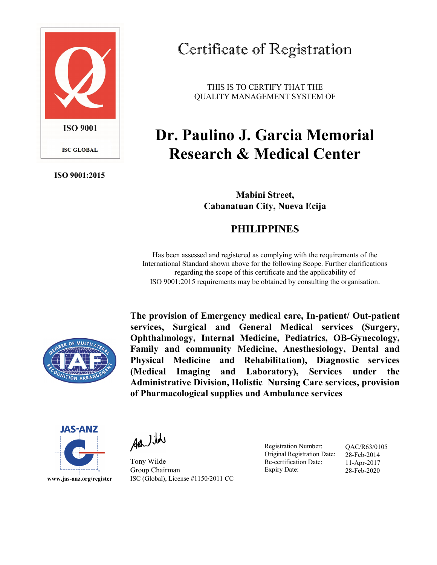

ISO 9001:2015

## Certificate of Registration

THIS IS TO CERTIFY THAT THE QUALITY MANAGEMENT SYSTEM OF

## Dr. Paulino J. Garcia Memorial Research & Medical Center

Mabini Street, Cabanatuan City, Nueva Ecija

## PHILIPPINES

Has been assessed and registered as complying with the requirements of the International Standard shown above for the following Scope. Further clarifications regarding the scope of this certificate and the applicability of ISO 9001:2015 requirements may be obtained by consulting the organisation.



The provision of Emergency medical care, In-patient/ Out-patient services, Surgical and General Medical services (Surgery, Ophthalmology, Internal Medicine, Pediatrics, OB-Gynecology, Family and community Medicine, Anesthesiology, Dental and Physical Medicine and Rehabilitation), Diagnostic services (Medical Imaging and Laboratory), Services under the Administrative Division, Holistic Nursing Care services, provision of Pharmacological supplies and Ambulance services



Additde

Tony Wilde Group Chairman ISC (Global), License #1150/2011 CC

Registration Number: Original Registration Date: Re-certification Date: Expiry Date:

QAC/R63/0105 28-Feb-2014 11-Apr-2017 28-Feb-2020

www.jas-anz.org/register